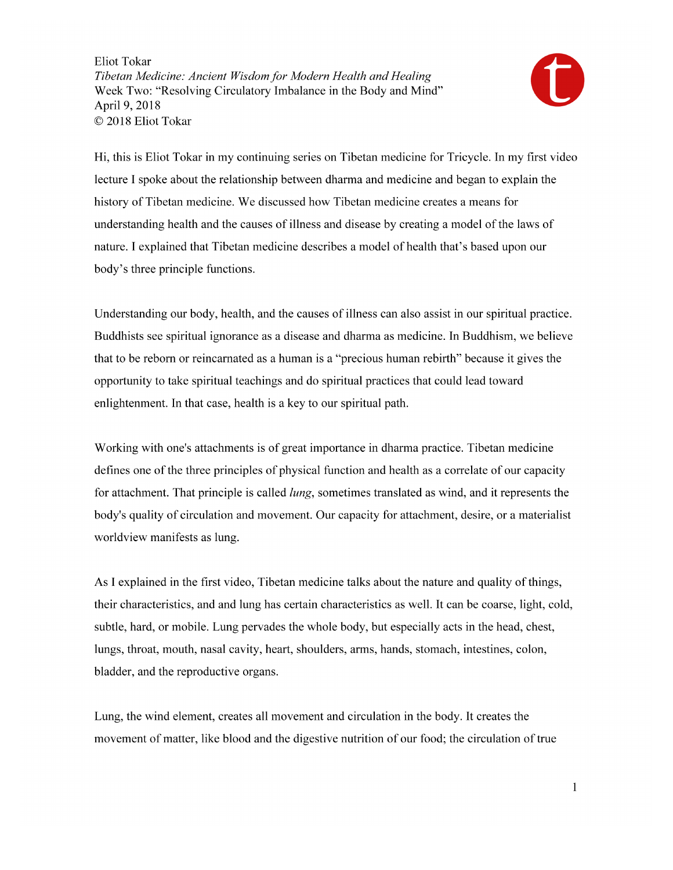

Hi, this is Eliot Tokar in my continuing series on Tibetan medicine for Tricycle. In my first video lecture I spoke about the relationship between dharma and medicine and began to explain the history of Tibetan medicine. We discussed how Tibetan medicine creates a means for understanding health and the causes of illness and disease by creating a model of the laws of nature. I explained that Tibetan medicine describes a model of health that's based upon our body's three principle functions.

Understanding our body, health, and the causes of illness can also assist in our spiritual practice. Buddhists see spiritual ignorance as a disease and dharma as medicine. In Buddhism, we believe that to be reborn or reincarnated as a human is a "precious human rebirth" because it gives the opportunity to take spiritual teachings and do spiritual practices that could lead toward enlightenment. In that case, health is a key to our spiritual path.

Working with one's attachments is of great importance in dharma practice. Tibetan medicine defines one of the three principles of physical function and health as a correlate of our capacity for attachment. That principle is called *lung*, sometimes translated as wind, and it represents the body's quality of circulation and movement. Our capacity for attachment, desire, or a materialist worldview manifests as lung.

As I explained in the first video, Tibetan medicine talks about the nature and quality of things, their characteristics, and and lung has certain characteristics as well. It can be coarse, light, cold, subtle, hard, or mobile. Lung pervades the whole body, but especially acts in the head, chest, lungs, throat, mouth, nasal cavity, heart, shoulders, arms, hands, stomach, intestines, colon, bladder, and the reproductive organs.

Lung, the wind element, creates all movement and circulation in the body. It creates the movement of matter, like blood and the digestive nutrition of our food; the circulation of true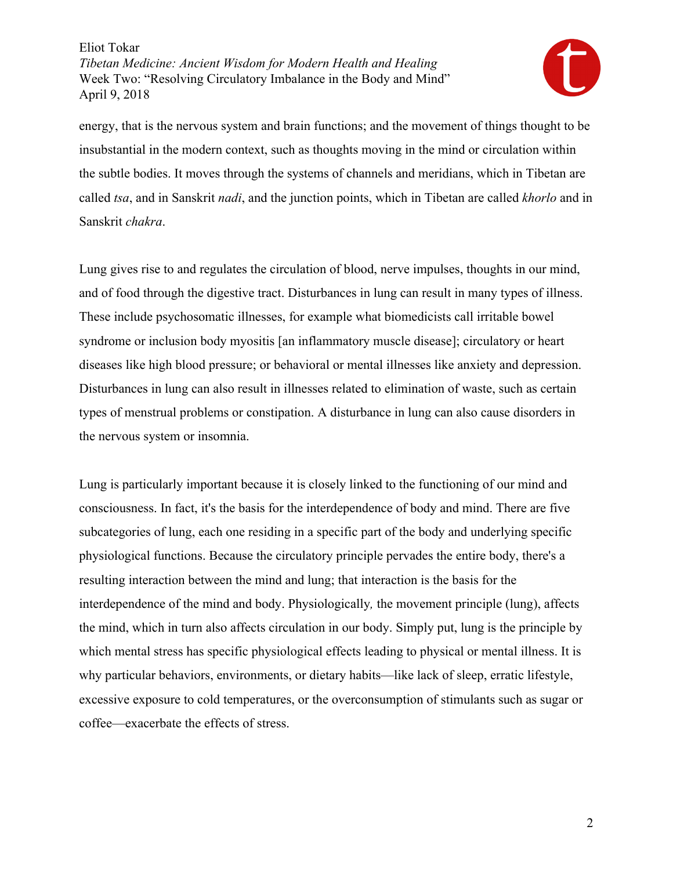

energy, that is the nervous system and brain functions; and the movement of things thought to be insubstantial in the modern context, such as thoughts moving in the mind or circulation within the subtle bodies. It moves through the systems of channels and meridians, which in Tibetan are called *tsa*, and in Sanskrit *nadi*, and the junction points, which in Tibetan are called *khorlo* and in Sanskrit *chakra*.

Lung gives rise to and regulates the circulation of blood, nerve impulses, thoughts in our mind, and of food through the digestive tract. Disturbances in lung can result in many types of illness. These include psychosomatic illnesses, for example what biomedicists call irritable bowel syndrome or inclusion body myositis [an inflammatory muscle disease]; circulatory or heart diseases like high blood pressure; or behavioral or mental illnesses like anxiety and depression. Disturbances in lung can also result in illnesses related to elimination of waste, such as certain types of menstrual problems or constipation. A disturbance in lung can also cause disorders in the nervous system or insomnia.

Lung is particularly important because it is closely linked to the functioning of our mind and consciousness. In fact, it's the basis for the interdependence of body and mind. There are five subcategories of lung, each one residing in a specific part of the body and underlying specific physiological functions. Because the circulatory principle pervades the entire body, there's a resulting interaction between the mind and lung; that interaction is the basis for the interdependence of the mind and body. Physiologically*,* the movement principle (lung), affects the mind, which in turn also affects circulation in our body. Simply put, lung is the principle by which mental stress has specific physiological effects leading to physical or mental illness. It is why particular behaviors, environments, or dietary habits—like lack of sleep, erratic lifestyle, excessive exposure to cold temperatures, or the overconsumption of stimulants such as sugar or coffee—exacerbate the effects of stress.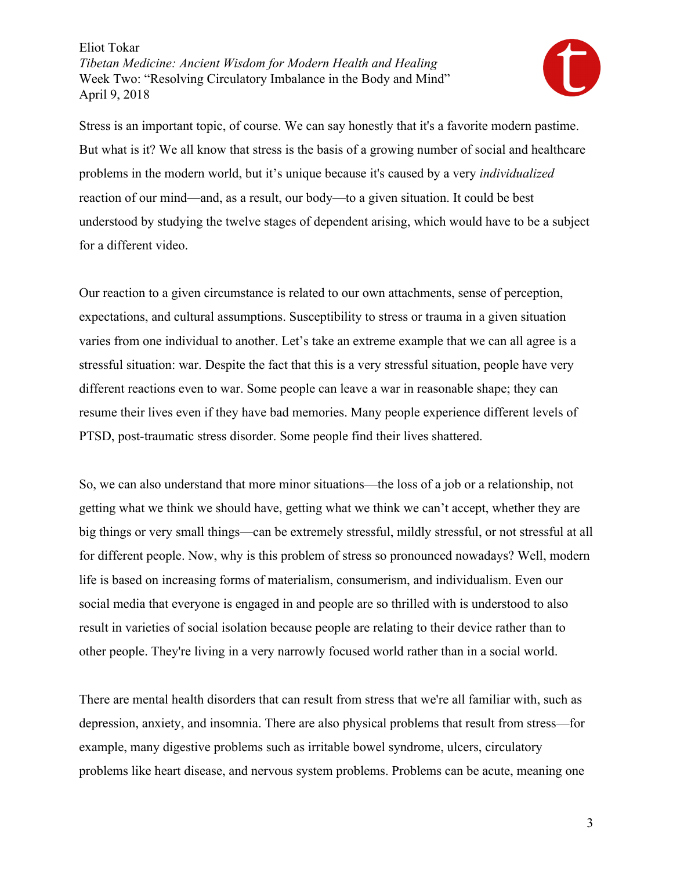

Stress is an important topic, of course. We can say honestly that it's a favorite modern pastime. But what is it? We all know that stress is the basis of a growing number of social and healthcare problems in the modern world, but it's unique because it's caused by a very *individualized* reaction of our mind—and, as a result, our body—to a given situation. It could be best understood by studying the twelve stages of dependent arising, which would have to be a subject for a different video.

Our reaction to a given circumstance is related to our own attachments, sense of perception, expectations, and cultural assumptions. Susceptibility to stress or trauma in a given situation varies from one individual to another. Let's take an extreme example that we can all agree is a stressful situation: war. Despite the fact that this is a very stressful situation, people have very different reactions even to war. Some people can leave a war in reasonable shape; they can resume their lives even if they have bad memories. Many people experience different levels of PTSD, post-traumatic stress disorder. Some people find their lives shattered.

So, we can also understand that more minor situations—the loss of a job or a relationship, not getting what we think we should have, getting what we think we can't accept, whether they are big things or very small things—can be extremely stressful, mildly stressful, or not stressful at all for different people. Now, why is this problem of stress so pronounced nowadays? Well, modern life is based on increasing forms of materialism, consumerism, and individualism. Even our social media that everyone is engaged in and people are so thrilled with is understood to also result in varieties of social isolation because people are relating to their device rather than to other people. They're living in a very narrowly focused world rather than in a social world.

There are mental health disorders that can result from stress that we're all familiar with, such as depression, anxiety, and insomnia. There are also physical problems that result from stress—for example, many digestive problems such as irritable bowel syndrome, ulcers, circulatory problems like heart disease, and nervous system problems. Problems can be acute, meaning one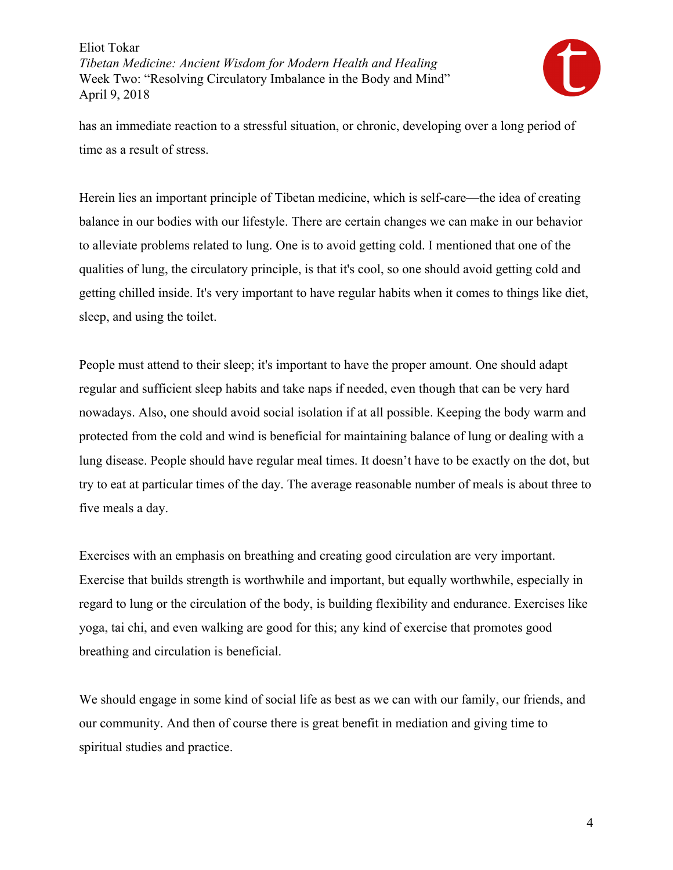

has an immediate reaction to a stressful situation, or chronic, developing over a long period of time as a result of stress.

Herein lies an important principle of Tibetan medicine, which is self-care—the idea of creating balance in our bodies with our lifestyle. There are certain changes we can make in our behavior to alleviate problems related to lung. One is to avoid getting cold. I mentioned that one of the qualities of lung, the circulatory principle, is that it's cool, so one should avoid getting cold and getting chilled inside. It's very important to have regular habits when it comes to things like diet, sleep, and using the toilet.

People must attend to their sleep; it's important to have the proper amount. One should adapt regular and sufficient sleep habits and take naps if needed, even though that can be very hard nowadays. Also, one should avoid social isolation if at all possible. Keeping the body warm and protected from the cold and wind is beneficial for maintaining balance of lung or dealing with a lung disease. People should have regular meal times. It doesn't have to be exactly on the dot, but try to eat at particular times of the day. The average reasonable number of meals is about three to five meals a day.

Exercises with an emphasis on breathing and creating good circulation are very important. Exercise that builds strength is worthwhile and important, but equally worthwhile, especially in regard to lung or the circulation of the body, is building flexibility and endurance. Exercises like yoga, tai chi, and even walking are good for this; any kind of exercise that promotes good breathing and circulation is beneficial.

We should engage in some kind of social life as best as we can with our family, our friends, and our community. And then of course there is great benefit in mediation and giving time to spiritual studies and practice.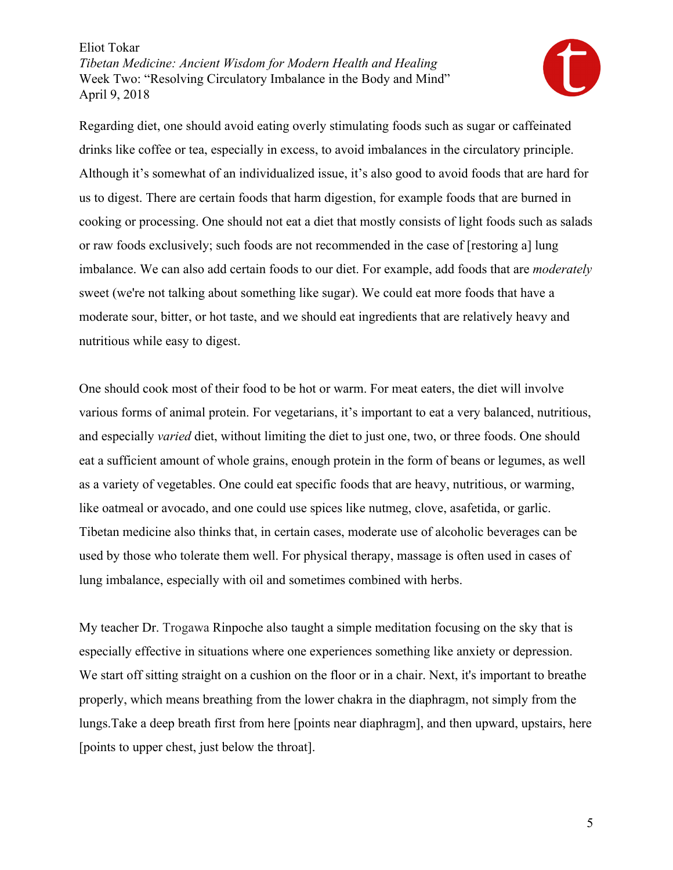

Regarding diet, one should avoid eating overly stimulating foods such as sugar or caffeinated drinks like coffee or tea, especially in excess, to avoid imbalances in the circulatory principle. Although it's somewhat of an individualized issue, it's also good to avoid foods that are hard for us to digest. There are certain foods that harm digestion, for example foods that are burned in cooking or processing. One should not eat a diet that mostly consists of light foods such as salads or raw foods exclusively; such foods are not recommended in the case of [restoring a] lung imbalance. We can also add certain foods to our diet. For example, add foods that are *moderately* sweet (we're not talking about something like sugar). We could eat more foods that have a moderate sour, bitter, or hot taste, and we should eat ingredients that are relatively heavy and nutritious while easy to digest.

One should cook most of their food to be hot or warm. For meat eaters, the diet will involve various forms of animal protein. For vegetarians, it's important to eat a very balanced, nutritious, and especially *varied* diet, without limiting the diet to just one, two, or three foods. One should eat a sufficient amount of whole grains, enough protein in the form of beans or legumes, as well as a variety of vegetables. One could eat specific foods that are heavy, nutritious, or warming, like oatmeal or avocado, and one could use spices like nutmeg, clove, asafetida, or garlic. Tibetan medicine also thinks that, in certain cases, moderate use of alcoholic beverages can be used by those who tolerate them well. For physical therapy, massage is often used in cases of lung imbalance, especially with oil and sometimes combined with herbs.

My teacher Dr. Trogawa Rinpoche also taught a simple meditation focusing on the sky that is especially effective in situations where one experiences something like anxiety or depression. We start off sitting straight on a cushion on the floor or in a chair. Next, it's important to breathe properly, which means breathing from the lower chakra in the diaphragm, not simply from the lungs.Take a deep breath first from here [points near diaphragm], and then upward, upstairs, here [points to upper chest, just below the throat].